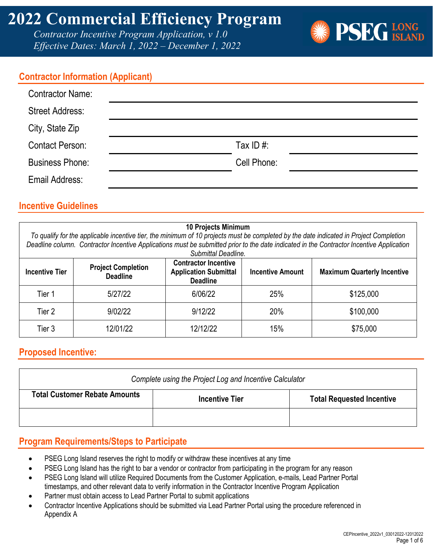*Contractor Incentive Program Application, v 1.0 Effective Dates: March 1, 2022 – December 1, 2022*



#### **Contractor Information (Applicant)**

| <b>Contractor Name:</b> |              |
|-------------------------|--------------|
| <b>Street Address:</b>  |              |
| City, State Zip         |              |
| <b>Contact Person:</b>  | Tax ID $#$ : |
| <b>Business Phone:</b>  | Cell Phone:  |
| Email Address:          |              |

#### **Incentive Guidelines**

|                       |                                              | <b>10 Projects Minimum</b><br>Submittal Deadline.                              |                         | To qualify for the applicable incentive tier, the minimum of 10 projects must be completed by the date indicated in Project Completion<br>Deadline column. Contractor Incentive Applications must be submitted prior to the date indicated in the Contractor Incentive Application |
|-----------------------|----------------------------------------------|--------------------------------------------------------------------------------|-------------------------|------------------------------------------------------------------------------------------------------------------------------------------------------------------------------------------------------------------------------------------------------------------------------------|
| <b>Incentive Tier</b> | <b>Project Completion</b><br><b>Deadline</b> | <b>Contractor Incentive</b><br><b>Application Submittal</b><br><b>Deadline</b> | <b>Incentive Amount</b> | <b>Maximum Quarterly Incentive</b>                                                                                                                                                                                                                                                 |
| Tier 1                | 5/27/22                                      | 6/06/22                                                                        | 25%                     | \$125,000                                                                                                                                                                                                                                                                          |
| Tier 2                | 9/02/22                                      | 9/12/22                                                                        | 20%                     | \$100,000                                                                                                                                                                                                                                                                          |
| Tier 3                | 12/01/22                                     | 12/12/22                                                                       | 15%                     | \$75,000                                                                                                                                                                                                                                                                           |

#### **Proposed Incentive:**

| Complete using the Project Log and Incentive Calculator |                       |                                  |
|---------------------------------------------------------|-----------------------|----------------------------------|
| <b>Total Customer Rebate Amounts</b>                    | <b>Incentive Tier</b> | <b>Total Requested Incentive</b> |
|                                                         |                       |                                  |

#### **Program Requirements/Steps to Participate**

- PSEG Long Island reserves the right to modify or withdraw these incentives at any time
- PSEG Long Island has the right to bar a vendor or contractor from participating in the program for any reason
- PSEG Long Island will utilize Required Documents from the Customer Application, e-mails, Lead Partner Portal timestamps, and other relevant data to verify information in the Contractor Incentive Program Application
- Partner must obtain access to Lead Partner Portal to submit applications
- Contractor Incentive Applications should be submitted via Lead Partner Portal using the procedure referenced in Appendix A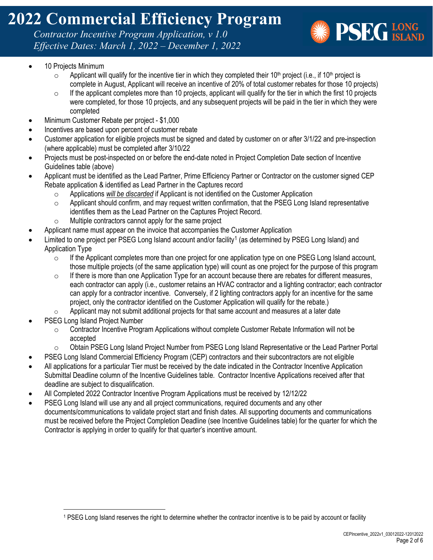*Contractor Incentive Program Application, v 1.0 Effective Dates: March 1, 2022 – December 1, 2022*



- 10 Projects Minimum
	- $\circ$  Applicant will qualify for the incentive tier in which they completed their 10<sup>th</sup> project (i.e., if 10<sup>th</sup> project is complete in August, Applicant will receive an incentive of 20% of total customer rebates for those 10 projects)
	- $\circ$  If the applicant completes more than 10 projects, applicant will qualify for the tier in which the first 10 projects were completed, for those 10 projects, and any subsequent projects will be paid in the tier in which they were completed
- Minimum Customer Rebate per project \$1,000
- Incentives are based upon percent of customer rebate
- Customer application for eligible projects must be signed and dated by customer on or after 3/1/22 and pre-inspection (where applicable) must be completed after 3/10/22
- Projects must be post-inspected on or before the end-date noted in Project Completion Date section of Incentive Guidelines table (above)
- Applicant must be identified as the Lead Partner, Prime Efficiency Partner or Contractor on the customer signed CEP Rebate application & identified as Lead Partner in the Captures record
	- o Applications *will be discarded* if Applicant is not identified on the Customer Application<br>
	o Applicant should confirm, and may request written confirmation, that the PSEG Long Is
	- Applicant should confirm, and may request written confirmation, that the PSEG Long Island representative identifies them as the Lead Partner on the Captures Project Record.
	- o Multiple contractors cannot apply for the same project
	- Applicant name must appear on the invoice that accompanies the Customer Application
- Limited to one project per PSEG Long Island account and/or facility<sup>[1](#page-1-0)</sup> (as determined by PSEG Long Island) and Application Type
	- $\circ$  If the Applicant completes more than one project for one application type on one PSEG Long Island account, those multiple projects (of the same application type) will count as one project for the purpose of this program
	- $\circ$  If there is more than one Application Type for an account because there are rebates for different measures, each contractor can apply (i.e., customer retains an HVAC contractor and a lighting contractor; each contractor can apply for a contractor incentive. Conversely, if 2 lighting contractors apply for an incentive for the same project, only the contractor identified on the Customer Application will qualify for the rebate.)
	- $\circ$  Applicant may not submit additional projects for that same account and measures at a later date
- PSEG Long Island Project Number
	- o Contractor Incentive Program Applications without complete Customer Rebate Information will not be accepted
	- o Obtain PSEG Long Island Project Number from PSEG Long Island Representative or the Lead Partner Portal
- PSEG Long Island Commercial Efficiency Program (CEP) contractors and their subcontractors are not eligible
- All applications for a particular Tier must be received by the date indicated in the Contractor Incentive Application Submittal Deadline column of the Incentive Guidelines table. Contractor Incentive Applications received after that deadline are subject to disqualification.
- All Completed 2022 Contractor Incentive Program Applications must be received by 12/12/22
- PSEG Long Island will use any and all project communications, required documents and any other documents/communications to validate project start and finish dates. All supporting documents and communications must be received before the Project Completion Deadline (see Incentive Guidelines table) for the quarter for which the Contractor is applying in order to qualify for that quarter's incentive amount.

<span id="page-1-0"></span><sup>1</sup> PSEG Long Island reserves the right to determine whether the contractor incentive is to be paid by account or facility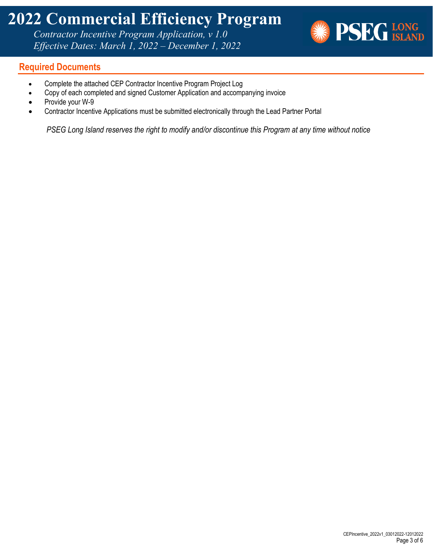*Contractor Incentive Program Application, v 1.0 Effective Dates: March 1, 2022 – December 1, 2022*



#### **Required Documents**

- Complete the attached CEP Contractor Incentive Program Project Log
- Copy of each completed and signed Customer Application and accompanying invoice
- Provide your W-9
- Contractor Incentive Applications must be submitted electronically through the Lead Partner Portal

*PSEG Long Island reserves the right to modify and/or discontinue this Program at any time without notice*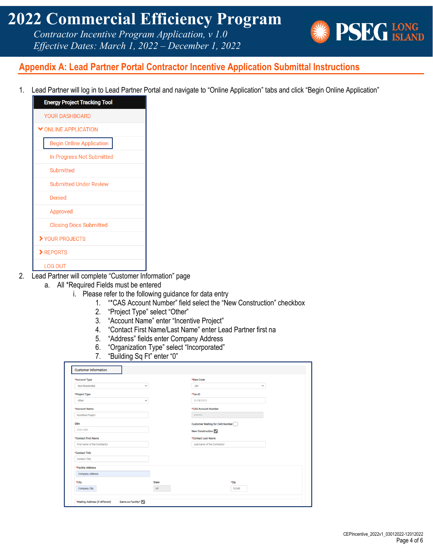*Contractor Incentive Program Application, v 1.0 Effective Dates: March 1, 2022 – December 1, 2022*



### **Appendix A: Lead Partner Portal Contractor Incentive Application Submittal Instructions**

1. Lead Partner will log in to Lead Partner Portal and navigate to "Online Application" tabs and click "Begin Online Application"

| <b>Energy Project Tracking Tool</b> |
|-------------------------------------|
| <b>YOUR DASHBOARD</b>               |
| ONLINE APPLICATION                  |
| <b>Begin Online Application</b>     |
| In Progress Not Submitted           |
| Submitted                           |
| <b>Submitted Under Review</b>       |
| Denied                              |
| Approved                            |
| <b>Closing Docs Submitted</b>       |
| YOUR PROJECTS                       |
| $\blacktriangleright$ REPORTS       |
| <b>LOG OUT</b>                      |

- 2. Lead Partner will complete "Customer Information" page
	- a. All \*Required Fields must be entered
		- i. Please refer to the following guidance for data entry
			- 1. "\*CAS Account Number" field select the "New Construction" checkbox
			- 2. "Project Type" select "Other"
			- 3. "Account Name" enter "Incentive Project"
			- 4. "Contact First Name/Last Name" enter Lead Partner first na
			- 5. "Address" fields enter Company Address
			- 6. "Organization Type" select "Incorporated"
			- 7. "Building Sq Ft" enter "0"

| *Account Type                   |              | *Rate Code                      |
|---------------------------------|--------------|---------------------------------|
| Non-Residential<br>$\checkmark$ |              | 281<br>$\checkmark$             |
| *Project Type                   |              | *Tax-ID                         |
| Other<br>$\check{~}$            |              | 11-1111111                      |
| *Account Name                   |              | *CAS Account Number             |
| <b>Incentive Project</b>        |              |                                 |
| <b>DBA</b>                      |              | Customer Waiting for CAS Number |
| <b>Enter DBA</b>                |              | New Construction                |
| *Contact First Name             |              | *Contact Last Name              |
| First name of the Contractor    |              | Last name of the Contractor     |
| *Contact Title                  |              |                                 |
| <b>Contact Title</b>            |              |                                 |
| *Facility Address               |              |                                 |
| <b>Company Address</b>          |              |                                 |
| *City                           | <b>State</b> | *Zip                            |
| Company City                    | <b>NY</b>    | 12345                           |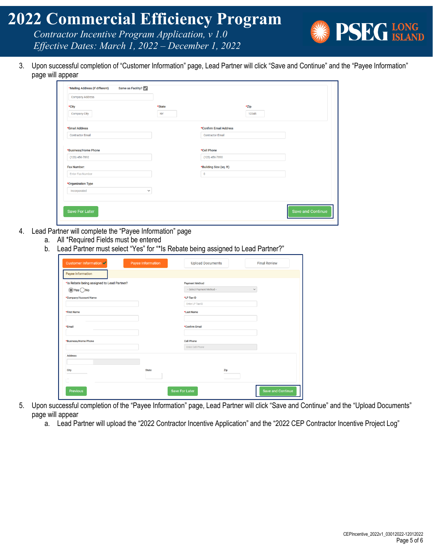*Contractor Incentive Program Application, v 1.0 Effective Dates: March 1, 2022 – December 1, 2022*

3. Upon successful completion of "Customer Information" page, Lead Partner will click "Save and Continue" and the "Payee Information" page will appear

| *Zip<br>12345<br>*Confirm Email Address<br><b>Contractor Email</b> |
|--------------------------------------------------------------------|
|                                                                    |
|                                                                    |
|                                                                    |
|                                                                    |
| $(123)$ 456-7890<br>*Building Size (sq. ft)                        |
|                                                                    |
|                                                                    |
|                                                                    |
|                                                                    |
| *Cell Phone                                                        |

- 4. Lead Partner will complete the "Payee Information" page
	- a. All \*Required Fields must be entered
		- b. Lead Partner must select "Yes" for "\*Is Rebate being assigned to Lead Partner?"

| Customer Information ✔                     | <b>Payee Information</b> | <b>Upload Documents</b>               | <b>Final Review</b>      |
|--------------------------------------------|--------------------------|---------------------------------------|--------------------------|
| <b>Payee Information</b>                   |                          |                                       |                          |
| *Is Rebate being assigned to Lead Partner? |                          | <b>Payment Method</b>                 |                          |
| $\bigcirc$ Yes $\bigcirc$ No               |                          | - Select Payment Method-              | $\checkmark$             |
| *Company/Account Name                      |                          | *LP Tax-ID                            |                          |
|                                            |                          | Enter LP Tax-ID                       |                          |
| *First Name                                |                          | *Last Name                            |                          |
|                                            |                          |                                       |                          |
| *Email                                     |                          | *Confirm Email                        |                          |
|                                            |                          |                                       |                          |
| *Business/Home Phone                       |                          | <b>Cell Phone</b><br>Enter Cell Phone |                          |
|                                            |                          |                                       |                          |
| <b>Address</b>                             |                          |                                       |                          |
|                                            |                          |                                       |                          |
| City                                       | <b>State</b>             | Zip                                   |                          |
|                                            |                          |                                       |                          |
| <b>Previous</b>                            |                          | <b>Save For Later</b>                 | <b>Save and Continue</b> |

- 5. Upon successful completion of the "Payee Information" page, Lead Partner will click "Save and Continue" and the "Upload Documents" page will appear
	- a. Lead Partner will upload the "2022 Contractor Incentive Application" and the "2022 CEP Contractor Incentive Project Log"

**PSEG LONG**